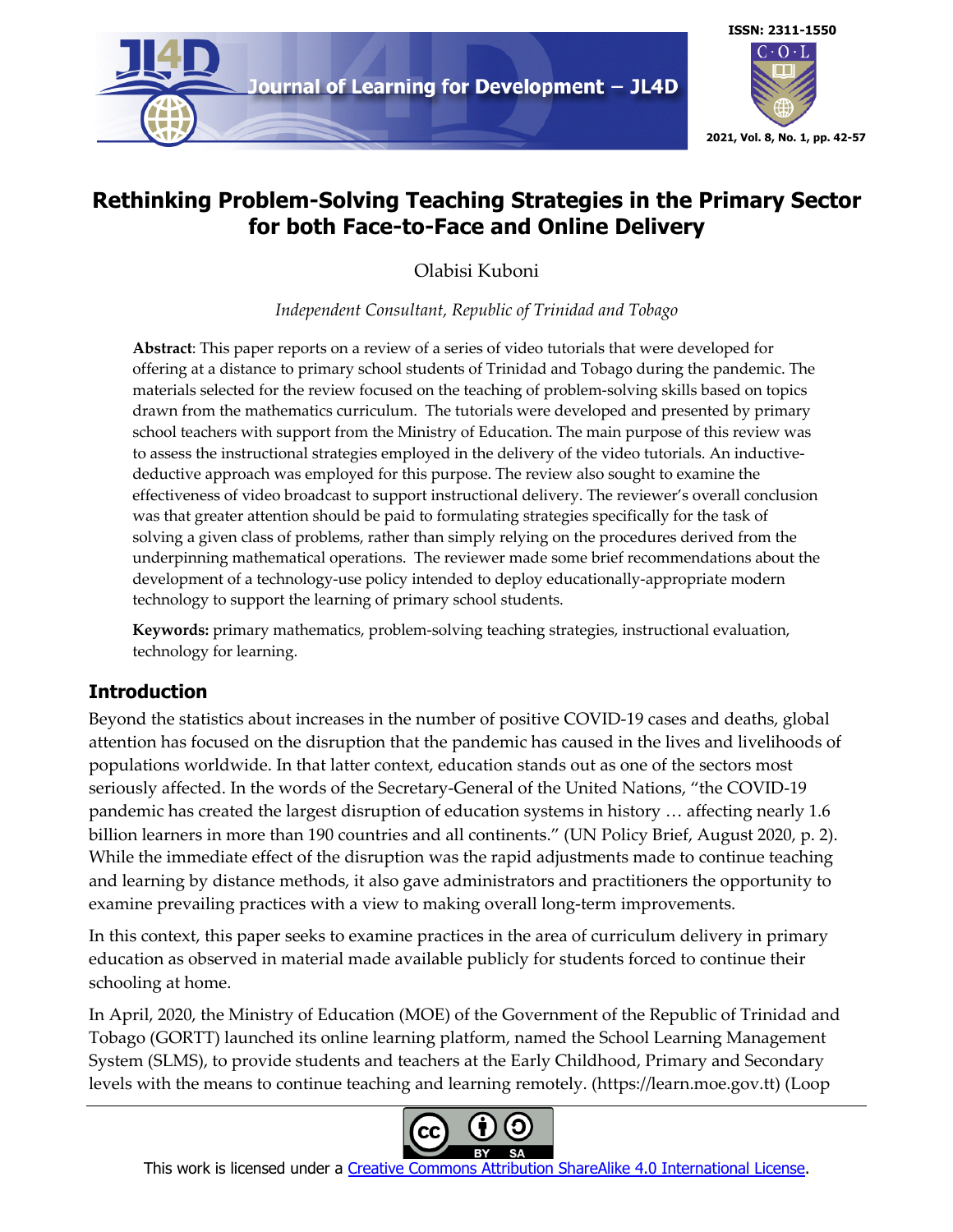

# **Rethinking Problem-Solving Teaching Strategies in the Primary Sector for both Face-to-Face and Online Delivery**

Olabisi Kuboni

*Independent Consultant, Republic of Trinidad and Tobago*

**Abstract**: This paper reports on a review of a series of video tutorials that were developed for offering at a distance to primary school students of Trinidad and Tobago during the pandemic. The materials selected for the review focused on the teaching of problem-solving skills based on topics drawn from the mathematics curriculum. The tutorials were developed and presented by primary school teachers with support from the Ministry of Education. The main purpose of this review was to assess the instructional strategies employed in the delivery of the video tutorials. An inductivedeductive approach was employed for this purpose. The review also sought to examine the effectiveness of video broadcast to support instructional delivery. The reviewer's overall conclusion was that greater attention should be paid to formulating strategies specifically for the task of solving a given class of problems, rather than simply relying on the procedures derived from the underpinning mathematical operations. The reviewer made some brief recommendations about the development of a technology-use policy intended to deploy educationally-appropriate modern technology to support the learning of primary school students.

**Keywords:** primary mathematics, problem-solving teaching strategies, instructional evaluation, technology for learning.

## **Introduction**

Beyond the statistics about increases in the number of positive COVID-19 cases and deaths, global attention has focused on the disruption that the pandemic has caused in the lives and livelihoods of populations worldwide. In that latter context, education stands out as one of the sectors most seriously affected. In the words of the Secretary-General of the United Nations, "the COVID-19 pandemic has created the largest disruption of education systems in history … affecting nearly 1.6 billion learners in more than 190 countries and all continents." (UN Policy Brief, August 2020, p. 2). While the immediate effect of the disruption was the rapid adjustments made to continue teaching and learning by distance methods, it also gave administrators and practitioners the opportunity to examine prevailing practices with a view to making overall long-term improvements.

In this context, this paper seeks to examine practices in the area of curriculum delivery in primary education as observed in material made available publicly for students forced to continue their schooling at home.

In April, 2020, the Ministry of Education (MOE) of the Government of the Republic of Trinidad and Tobago (GORTT) launched its online learning platform, named the School Learning Management System (SLMS), to provide students and teachers at the Early Childhood, Primary and Secondary levels with the means to continue teaching and learning remotely. (https://learn.moe.gov.tt) (Loop



This work is licensed under a Creative Commons Attribution ShareAlike 4.0 International License.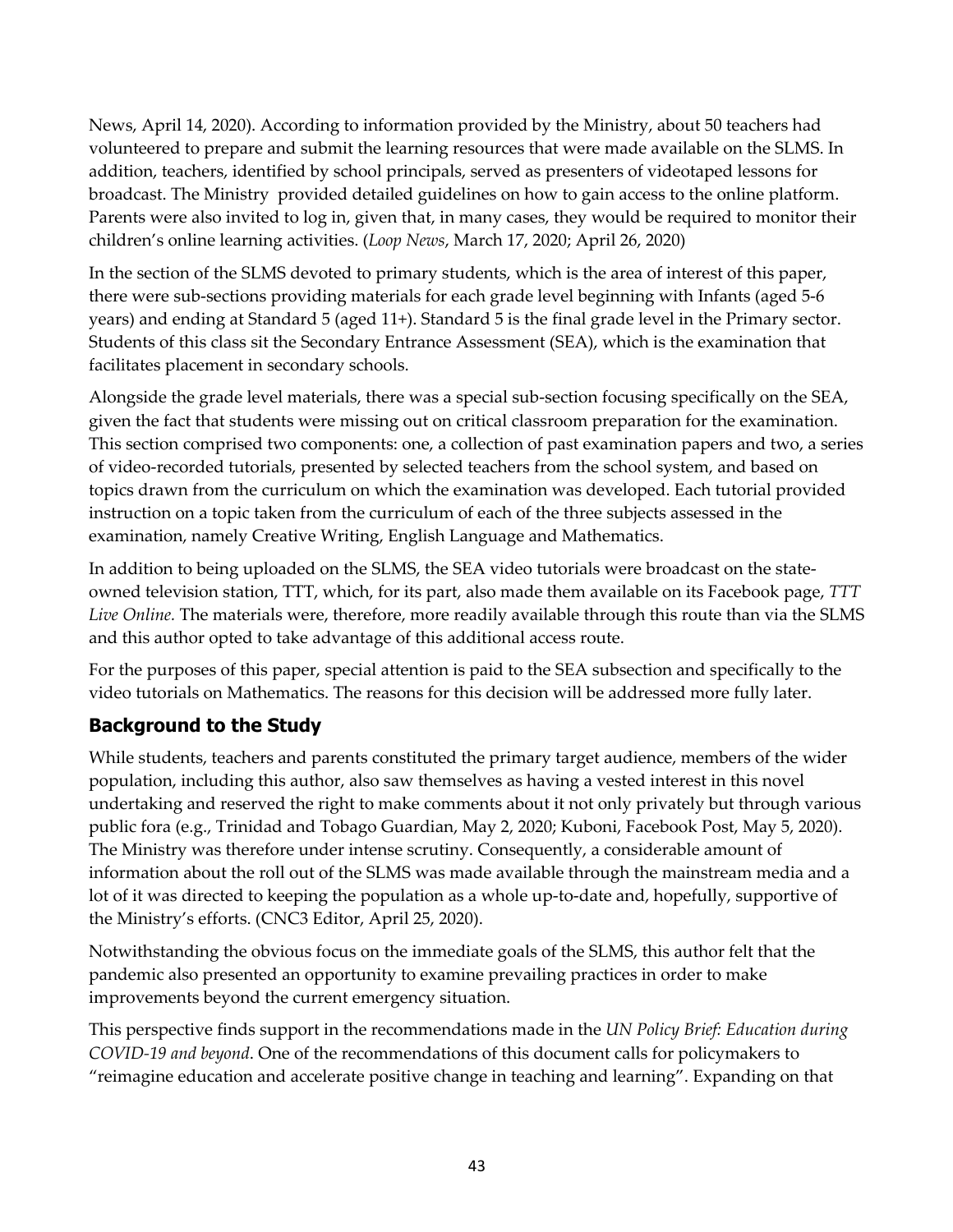News, April 14, 2020). According to information provided by the Ministry, about 50 teachers had volunteered to prepare and submit the learning resources that were made available on the SLMS. In addition, teachers, identified by school principals, served as presenters of videotaped lessons for broadcast. The Ministry provided detailed guidelines on how to gain access to the online platform. Parents were also invited to log in, given that, in many cases, they would be required to monitor their children's online learning activities. (*Loop News*, March 17, 2020; April 26, 2020)

In the section of the SLMS devoted to primary students, which is the area of interest of this paper, there were sub-sections providing materials for each grade level beginning with Infants (aged 5-6 years) and ending at Standard 5 (aged 11+). Standard 5 is the final grade level in the Primary sector. Students of this class sit the Secondary Entrance Assessment (SEA), which is the examination that facilitates placement in secondary schools.

Alongside the grade level materials, there was a special sub-section focusing specifically on the SEA, given the fact that students were missing out on critical classroom preparation for the examination. This section comprised two components: one, a collection of past examination papers and two, a series of video-recorded tutorials, presented by selected teachers from the school system, and based on topics drawn from the curriculum on which the examination was developed. Each tutorial provided instruction on a topic taken from the curriculum of each of the three subjects assessed in the examination, namely Creative Writing, English Language and Mathematics.

In addition to being uploaded on the SLMS, the SEA video tutorials were broadcast on the stateowned television station, TTT, which, for its part, also made them available on its Facebook page, *TTT Live Online.* The materials were, therefore, more readily available through this route than via the SLMS and this author opted to take advantage of this additional access route.

For the purposes of this paper, special attention is paid to the SEA subsection and specifically to the video tutorials on Mathematics. The reasons for this decision will be addressed more fully later.

## **Background to the Study**

While students, teachers and parents constituted the primary target audience, members of the wider population, including this author, also saw themselves as having a vested interest in this novel undertaking and reserved the right to make comments about it not only privately but through various public fora (e.g., Trinidad and Tobago Guardian, May 2, 2020; Kuboni, Facebook Post, May 5, 2020). The Ministry was therefore under intense scrutiny. Consequently, a considerable amount of information about the roll out of the SLMS was made available through the mainstream media and a lot of it was directed to keeping the population as a whole up-to-date and, hopefully, supportive of the Ministry's efforts. (CNC3 Editor, April 25, 2020).

Notwithstanding the obvious focus on the immediate goals of the SLMS, this author felt that the pandemic also presented an opportunity to examine prevailing practices in order to make improvements beyond the current emergency situation.

This perspective finds support in the recommendations made in the *UN Policy Brief: Education during COVID-19 and beyond*. One of the recommendations of this document calls for policymakers to "reimagine education and accelerate positive change in teaching and learning". Expanding on that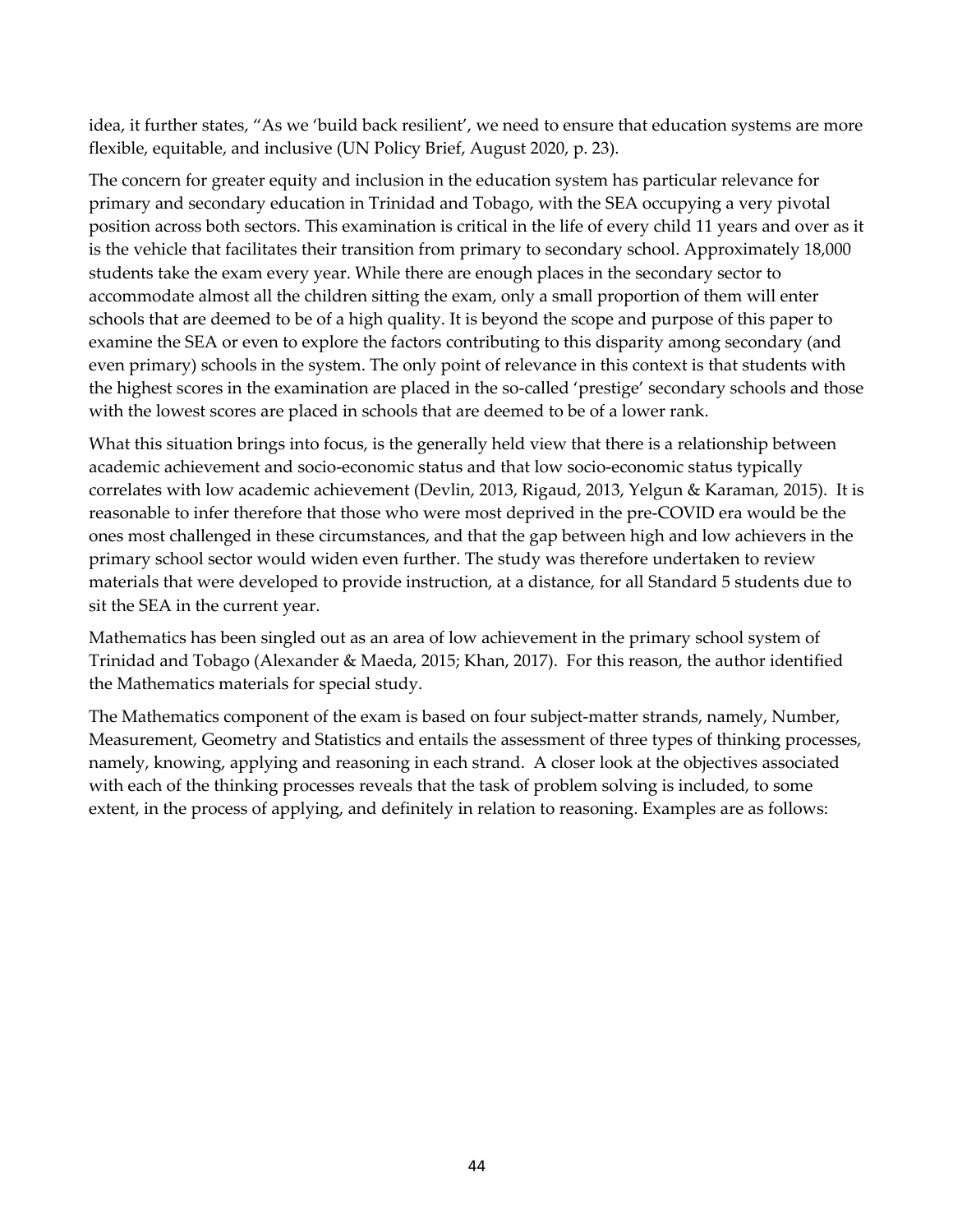idea, it further states, "As we 'build back resilient', we need to ensure that education systems are more flexible, equitable, and inclusive (UN Policy Brief, August 2020, p. 23).

The concern for greater equity and inclusion in the education system has particular relevance for primary and secondary education in Trinidad and Tobago, with the SEA occupying a very pivotal position across both sectors. This examination is critical in the life of every child 11 years and over as it is the vehicle that facilitates their transition from primary to secondary school. Approximately 18,000 students take the exam every year. While there are enough places in the secondary sector to accommodate almost all the children sitting the exam, only a small proportion of them will enter schools that are deemed to be of a high quality. It is beyond the scope and purpose of this paper to examine the SEA or even to explore the factors contributing to this disparity among secondary (and even primary) schools in the system. The only point of relevance in this context is that students with the highest scores in the examination are placed in the so-called 'prestige' secondary schools and those with the lowest scores are placed in schools that are deemed to be of a lower rank.

What this situation brings into focus, is the generally held view that there is a relationship between academic achievement and socio-economic status and that low socio-economic status typically correlates with low academic achievement (Devlin, 2013, Rigaud, 2013, Yelgun & Karaman, 2015). It is reasonable to infer therefore that those who were most deprived in the pre-COVID era would be the ones most challenged in these circumstances, and that the gap between high and low achievers in the primary school sector would widen even further. The study was therefore undertaken to review materials that were developed to provide instruction, at a distance, for all Standard 5 students due to sit the SEA in the current year.

Mathematics has been singled out as an area of low achievement in the primary school system of Trinidad and Tobago (Alexander & Maeda, 2015; Khan, 2017). For this reason, the author identified the Mathematics materials for special study.

The Mathematics component of the exam is based on four subject-matter strands, namely, Number, Measurement, Geometry and Statistics and entails the assessment of three types of thinking processes, namely, knowing, applying and reasoning in each strand. A closer look at the objectives associated with each of the thinking processes reveals that the task of problem solving is included, to some extent, in the process of applying, and definitely in relation to reasoning. Examples are as follows: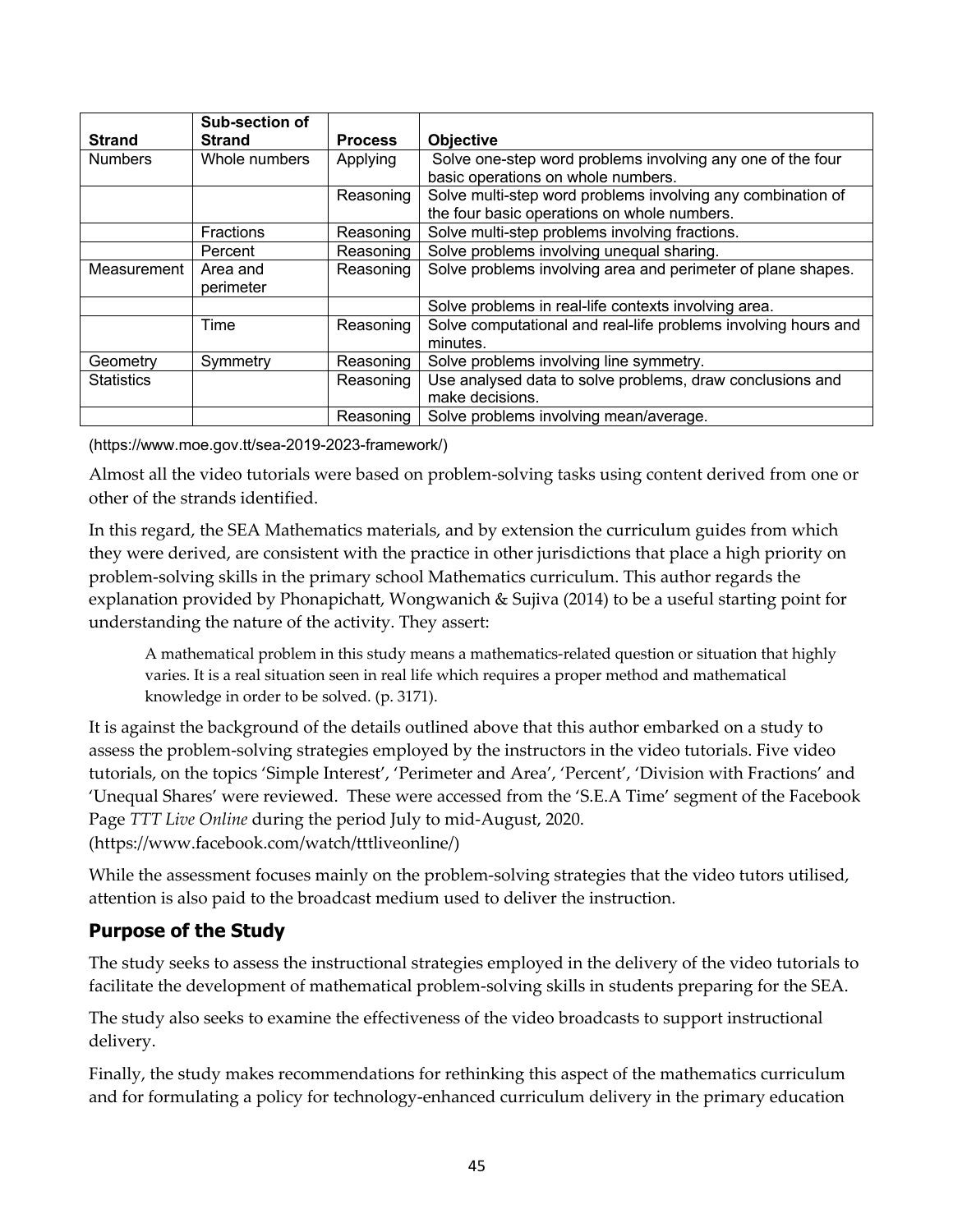|                   | Sub-section of   |                |                                                                |  |  |  |
|-------------------|------------------|----------------|----------------------------------------------------------------|--|--|--|
| <b>Strand</b>     | <b>Strand</b>    | <b>Process</b> | <b>Objective</b>                                               |  |  |  |
| <b>Numbers</b>    | Whole numbers    | Applying       | Solve one-step word problems involving any one of the four     |  |  |  |
|                   |                  |                | basic operations on whole numbers.                             |  |  |  |
|                   |                  | Reasoning      | Solve multi-step word problems involving any combination of    |  |  |  |
|                   |                  |                | the four basic operations on whole numbers.                    |  |  |  |
|                   | <b>Fractions</b> | Reasoning      | Solve multi-step problems involving fractions.                 |  |  |  |
|                   | Percent          | Reasoning      | Solve problems involving unequal sharing.                      |  |  |  |
| Measurement       | Area and         | Reasoning      | Solve problems involving area and perimeter of plane shapes.   |  |  |  |
|                   | perimeter        |                |                                                                |  |  |  |
|                   |                  |                | Solve problems in real-life contexts involving area.           |  |  |  |
|                   | Time             | Reasoning      | Solve computational and real-life problems involving hours and |  |  |  |
|                   |                  |                | minutes.                                                       |  |  |  |
| Geometry          | Symmetry         | Reasoning      | Solve problems involving line symmetry.                        |  |  |  |
| <b>Statistics</b> |                  | Reasoning      | Use analysed data to solve problems, draw conclusions and      |  |  |  |
|                   |                  |                | make decisions.                                                |  |  |  |
|                   |                  | Reasoning      | Solve problems involving mean/average.                         |  |  |  |

(https://www.moe.gov.tt/sea-2019-2023-framework/)

Almost all the video tutorials were based on problem-solving tasks using content derived from one or other of the strands identified.

In this regard, the SEA Mathematics materials, and by extension the curriculum guides from which they were derived, are consistent with the practice in other jurisdictions that place a high priority on problem-solving skills in the primary school Mathematics curriculum. This author regards the explanation provided by Phonapichatt, Wongwanich & Sujiva (2014) to be a useful starting point for understanding the nature of the activity. They assert:

A mathematical problem in this study means a mathematics-related question or situation that highly varies. It is a real situation seen in real life which requires a proper method and mathematical knowledge in order to be solved. (p. 3171).

It is against the background of the details outlined above that this author embarked on a study to assess the problem-solving strategies employed by the instructors in the video tutorials. Five video tutorials, on the topics 'Simple Interest', 'Perimeter and Area', 'Percent', 'Division with Fractions' and 'Unequal Shares' were reviewed. These were accessed from the 'S.E.A Time' segment of the Facebook Page *TTT Live Online* during the period July to mid-August, 2020. (https://www.facebook.com/watch/tttliveonline/)

While the assessment focuses mainly on the problem-solving strategies that the video tutors utilised, attention is also paid to the broadcast medium used to deliver the instruction.

## **Purpose of the Study**

The study seeks to assess the instructional strategies employed in the delivery of the video tutorials to facilitate the development of mathematical problem-solving skills in students preparing for the SEA.

The study also seeks to examine the effectiveness of the video broadcasts to support instructional delivery.

Finally, the study makes recommendations for rethinking this aspect of the mathematics curriculum and for formulating a policy for technology-enhanced curriculum delivery in the primary education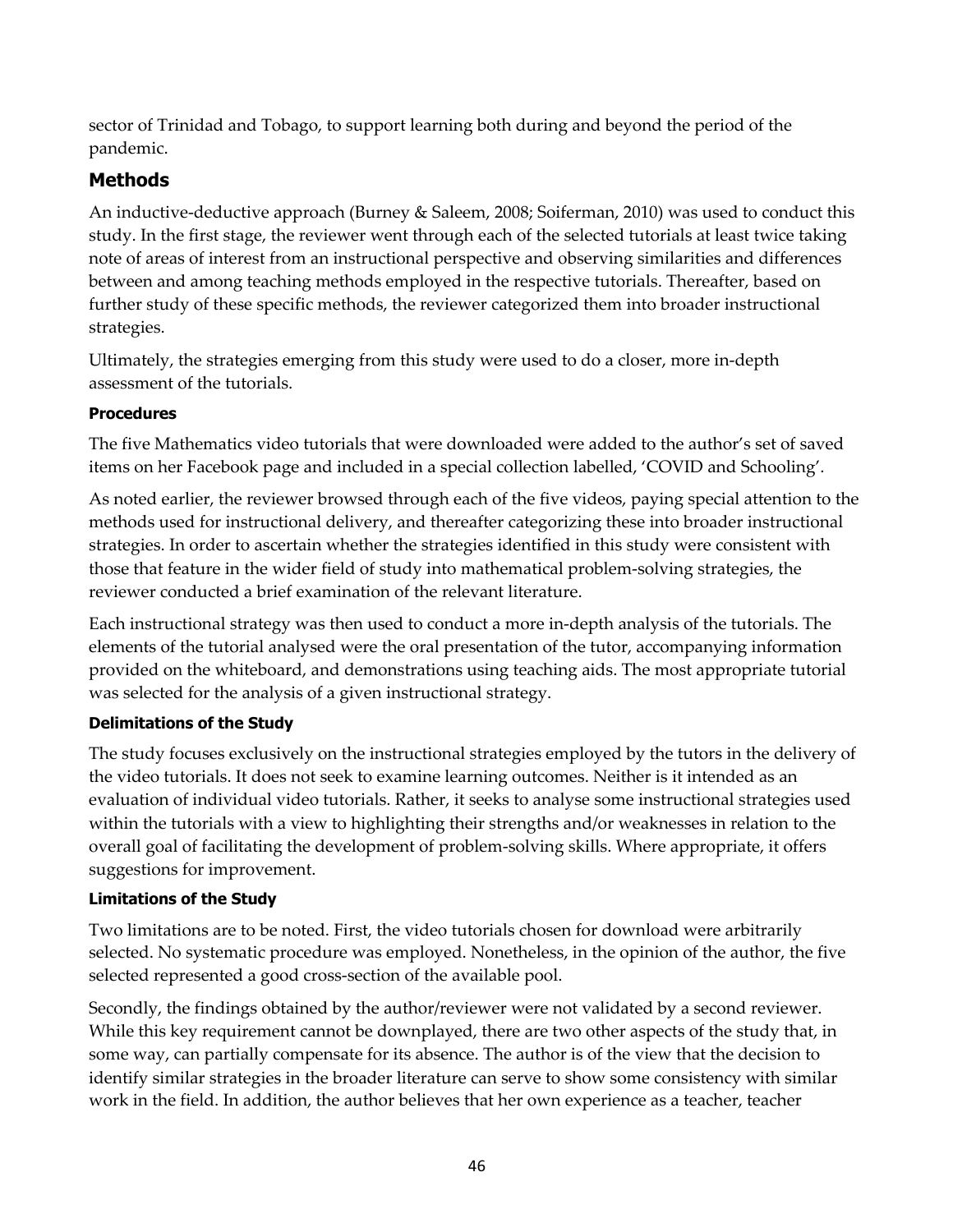sector of Trinidad and Tobago, to support learning both during and beyond the period of the pandemic.

## **Methods**

An inductive-deductive approach (Burney & Saleem, 2008; Soiferman, 2010) was used to conduct this study. In the first stage, the reviewer went through each of the selected tutorials at least twice taking note of areas of interest from an instructional perspective and observing similarities and differences between and among teaching methods employed in the respective tutorials. Thereafter, based on further study of these specific methods, the reviewer categorized them into broader instructional strategies.

Ultimately, the strategies emerging from this study were used to do a closer, more in-depth assessment of the tutorials.

## **Procedures**

The five Mathematics video tutorials that were downloaded were added to the author's set of saved items on her Facebook page and included in a special collection labelled, 'COVID and Schooling'.

As noted earlier, the reviewer browsed through each of the five videos, paying special attention to the methods used for instructional delivery, and thereafter categorizing these into broader instructional strategies. In order to ascertain whether the strategies identified in this study were consistent with those that feature in the wider field of study into mathematical problem-solving strategies, the reviewer conducted a brief examination of the relevant literature.

Each instructional strategy was then used to conduct a more in-depth analysis of the tutorials. The elements of the tutorial analysed were the oral presentation of the tutor, accompanying information provided on the whiteboard, and demonstrations using teaching aids. The most appropriate tutorial was selected for the analysis of a given instructional strategy.

## **Delimitations of the Study**

The study focuses exclusively on the instructional strategies employed by the tutors in the delivery of the video tutorials. It does not seek to examine learning outcomes. Neither is it intended as an evaluation of individual video tutorials. Rather, it seeks to analyse some instructional strategies used within the tutorials with a view to highlighting their strengths and/or weaknesses in relation to the overall goal of facilitating the development of problem-solving skills. Where appropriate, it offers suggestions for improvement.

## **Limitations of the Study**

Two limitations are to be noted. First, the video tutorials chosen for download were arbitrarily selected. No systematic procedure was employed. Nonetheless, in the opinion of the author, the five selected represented a good cross-section of the available pool.

Secondly, the findings obtained by the author/reviewer were not validated by a second reviewer. While this key requirement cannot be downplayed, there are two other aspects of the study that, in some way, can partially compensate for its absence. The author is of the view that the decision to identify similar strategies in the broader literature can serve to show some consistency with similar work in the field. In addition, the author believes that her own experience as a teacher, teacher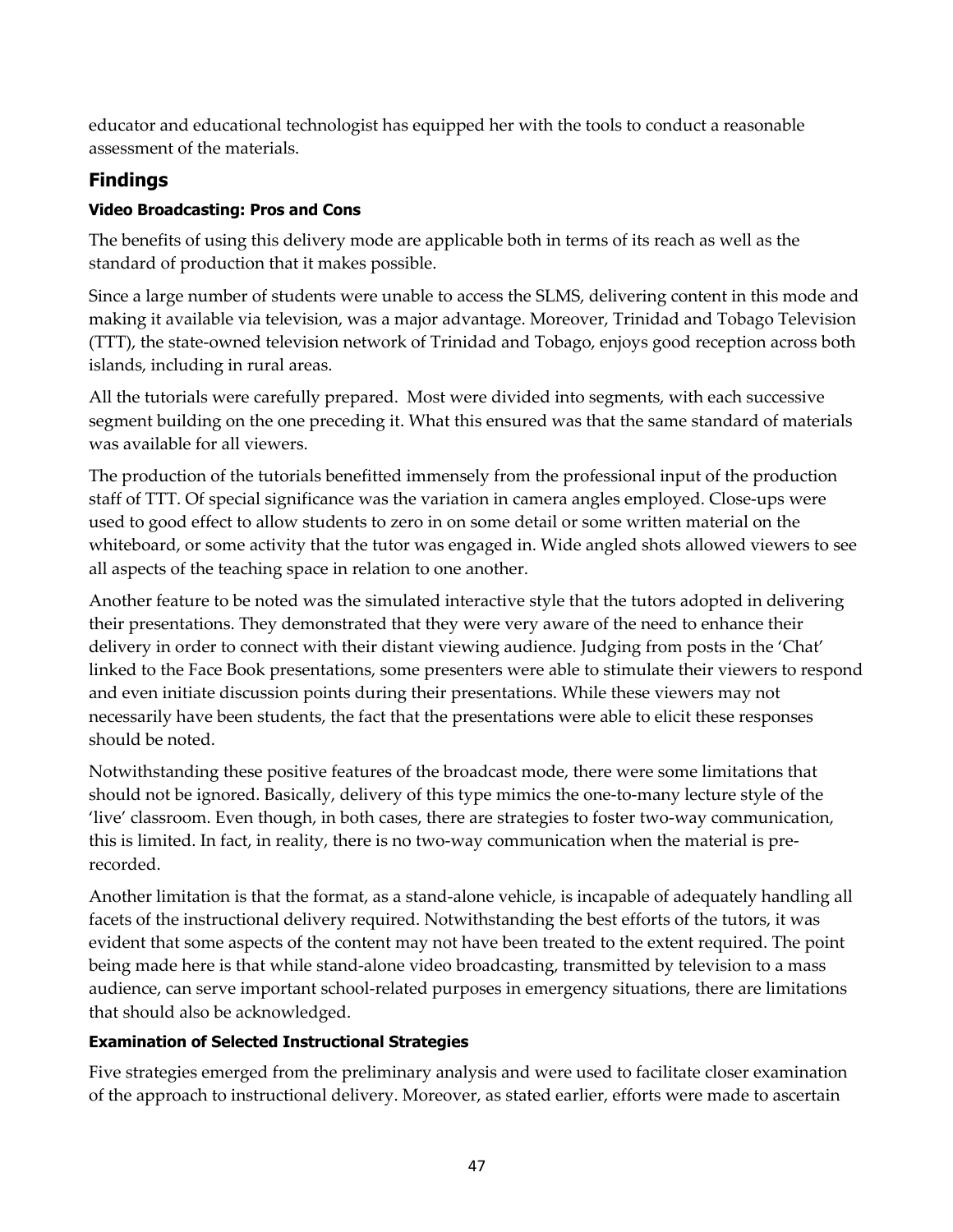educator and educational technologist has equipped her with the tools to conduct a reasonable assessment of the materials.

## **Findings**

### **Video Broadcasting: Pros and Cons**

The benefits of using this delivery mode are applicable both in terms of its reach as well as the standard of production that it makes possible.

Since a large number of students were unable to access the SLMS, delivering content in this mode and making it available via television, was a major advantage. Moreover, Trinidad and Tobago Television (TTT), the state-owned television network of Trinidad and Tobago, enjoys good reception across both islands, including in rural areas.

All the tutorials were carefully prepared. Most were divided into segments, with each successive segment building on the one preceding it. What this ensured was that the same standard of materials was available for all viewers.

The production of the tutorials benefitted immensely from the professional input of the production staff of TTT. Of special significance was the variation in camera angles employed. Close-ups were used to good effect to allow students to zero in on some detail or some written material on the whiteboard, or some activity that the tutor was engaged in. Wide angled shots allowed viewers to see all aspects of the teaching space in relation to one another.

Another feature to be noted was the simulated interactive style that the tutors adopted in delivering their presentations. They demonstrated that they were very aware of the need to enhance their delivery in order to connect with their distant viewing audience. Judging from posts in the 'Chat' linked to the Face Book presentations, some presenters were able to stimulate their viewers to respond and even initiate discussion points during their presentations. While these viewers may not necessarily have been students, the fact that the presentations were able to elicit these responses should be noted.

Notwithstanding these positive features of the broadcast mode, there were some limitations that should not be ignored. Basically, delivery of this type mimics the one-to-many lecture style of the 'live' classroom. Even though, in both cases, there are strategies to foster two-way communication, this is limited. In fact, in reality, there is no two-way communication when the material is prerecorded.

Another limitation is that the format, as a stand-alone vehicle, is incapable of adequately handling all facets of the instructional delivery required. Notwithstanding the best efforts of the tutors, it was evident that some aspects of the content may not have been treated to the extent required. The point being made here is that while stand-alone video broadcasting, transmitted by television to a mass audience, can serve important school-related purposes in emergency situations, there are limitations that should also be acknowledged.

#### **Examination of Selected Instructional Strategies**

Five strategies emerged from the preliminary analysis and were used to facilitate closer examination of the approach to instructional delivery. Moreover, as stated earlier, efforts were made to ascertain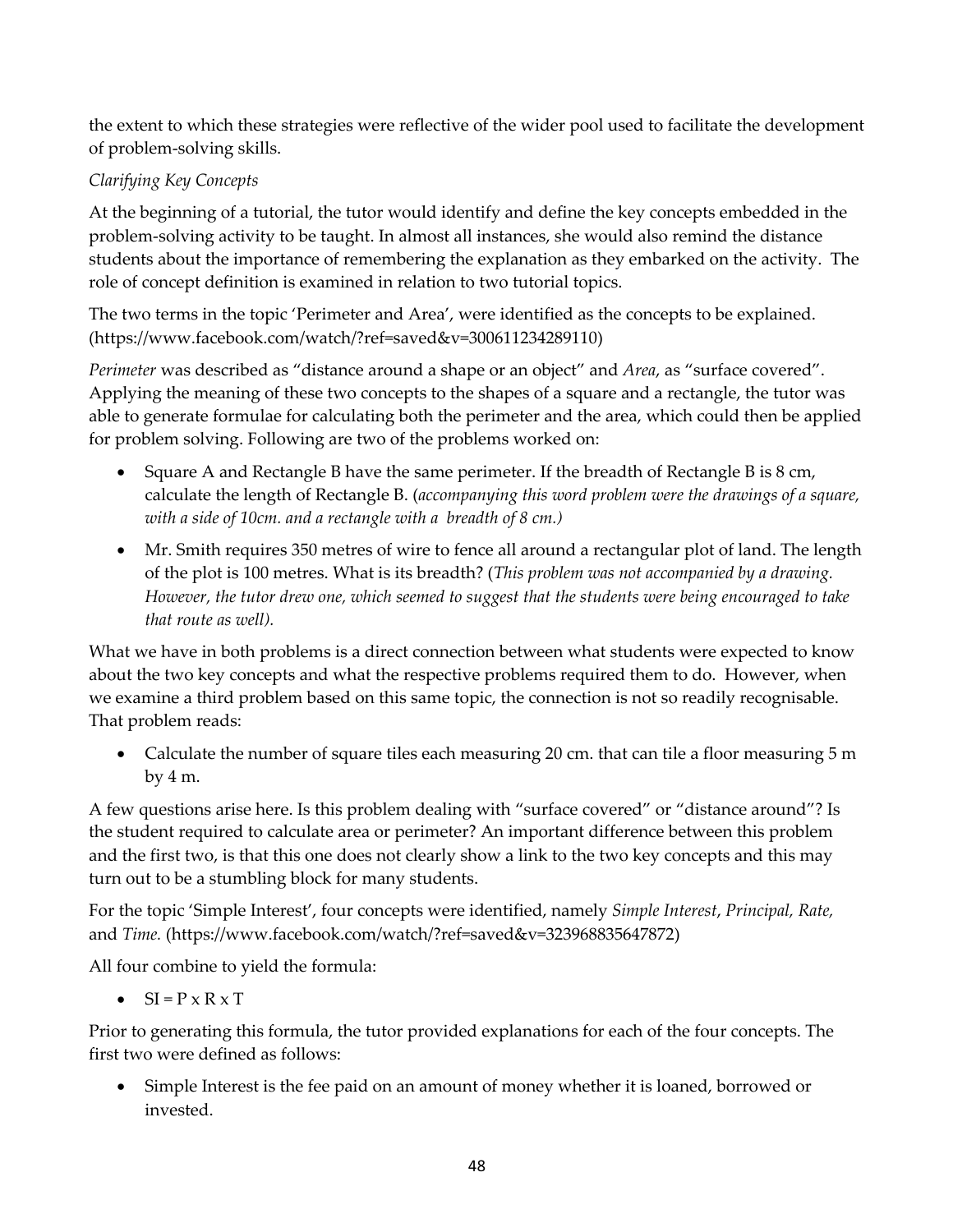the extent to which these strategies were reflective of the wider pool used to facilitate the development of problem-solving skills.

## *Clarifying Key Concepts*

At the beginning of a tutorial, the tutor would identify and define the key concepts embedded in the problem-solving activity to be taught. In almost all instances, she would also remind the distance students about the importance of remembering the explanation as they embarked on the activity. The role of concept definition is examined in relation to two tutorial topics.

The two terms in the topic 'Perimeter and Area', were identified as the concepts to be explained. (https://www.facebook.com/watch/?ref=saved&v=300611234289110)

*Perimeter* was described as "distance around a shape or an object" and *Area*, as "surface covered". Applying the meaning of these two concepts to the shapes of a square and a rectangle, the tutor was able to generate formulae for calculating both the perimeter and the area, which could then be applied for problem solving. Following are two of the problems worked on:

- Square A and Rectangle B have the same perimeter. If the breadth of Rectangle B is 8 cm, calculate the length of Rectangle B. (*accompanying this word problem were the drawings of a square, with a side of 10cm. and a rectangle with a breadth of 8 cm.)*
- Mr. Smith requires 350 metres of wire to fence all around a rectangular plot of land. The length of the plot is 100 metres. What is its breadth? (*This problem was not accompanied by a drawing. However, the tutor drew one, which seemed to suggest that the students were being encouraged to take that route as well).*

What we have in both problems is a direct connection between what students were expected to know about the two key concepts and what the respective problems required them to do. However, when we examine a third problem based on this same topic, the connection is not so readily recognisable. That problem reads:

• Calculate the number of square tiles each measuring 20 cm. that can tile a floor measuring 5 m by 4 m.

A few questions arise here. Is this problem dealing with "surface covered" or "distance around"? Is the student required to calculate area or perimeter? An important difference between this problem and the first two, is that this one does not clearly show a link to the two key concepts and this may turn out to be a stumbling block for many students.

For the topic 'Simple Interest', four concepts were identified, namely *Simple Interest*, *Principal, Rate,* and *Time.* (https://www.facebook.com/watch/?ref=saved&v=323968835647872)

All four combine to yield the formula:

•  $SI = P \times R \times T$ 

Prior to generating this formula, the tutor provided explanations for each of the four concepts. The first two were defined as follows:

• Simple Interest is the fee paid on an amount of money whether it is loaned, borrowed or invested.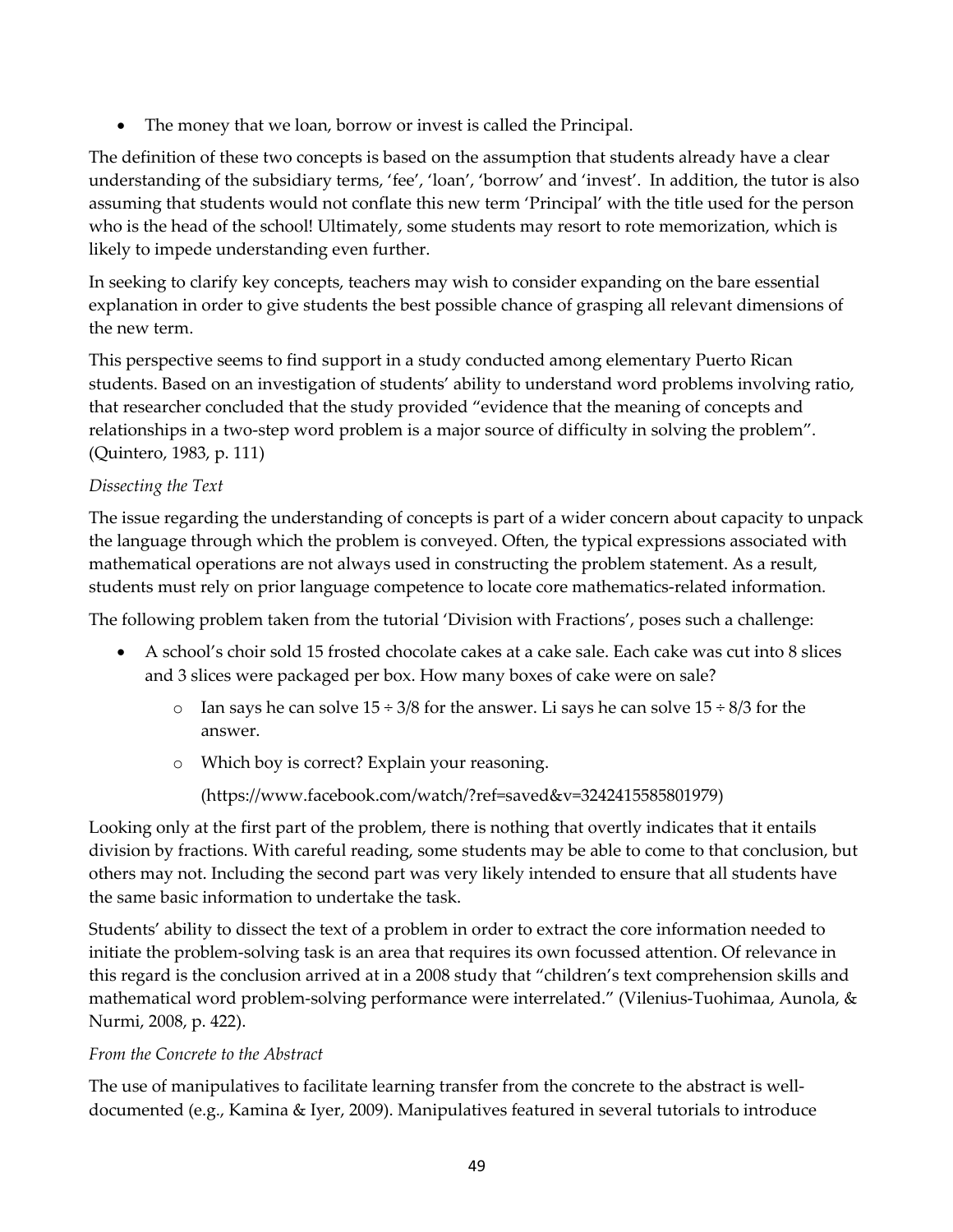• The money that we loan, borrow or invest is called the Principal.

The definition of these two concepts is based on the assumption that students already have a clear understanding of the subsidiary terms, 'fee', 'loan', 'borrow' and 'invest'. In addition, the tutor is also assuming that students would not conflate this new term 'Principal' with the title used for the person who is the head of the school! Ultimately, some students may resort to rote memorization, which is likely to impede understanding even further.

In seeking to clarify key concepts, teachers may wish to consider expanding on the bare essential explanation in order to give students the best possible chance of grasping all relevant dimensions of the new term.

This perspective seems to find support in a study conducted among elementary Puerto Rican students. Based on an investigation of students' ability to understand word problems involving ratio, that researcher concluded that the study provided "evidence that the meaning of concepts and relationships in a two-step word problem is a major source of difficulty in solving the problem". (Quintero, 1983, p. 111)

## *Dissecting the Text*

The issue regarding the understanding of concepts is part of a wider concern about capacity to unpack the language through which the problem is conveyed. Often, the typical expressions associated with mathematical operations are not always used in constructing the problem statement. As a result, students must rely on prior language competence to locate core mathematics-related information.

The following problem taken from the tutorial 'Division with Fractions', poses such a challenge:

- A school's choir sold 15 frosted chocolate cakes at a cake sale. Each cake was cut into 8 slices and 3 slices were packaged per box. How many boxes of cake were on sale?
	- o Ian says he can solve  $15 \div 3/8$  for the answer. Li says he can solve  $15 \div 8/3$  for the answer.
	- o Which boy is correct? Explain your reasoning.

(https://www.facebook.com/watch/?ref=saved&v=3242415585801979)

Looking only at the first part of the problem, there is nothing that overtly indicates that it entails division by fractions. With careful reading, some students may be able to come to that conclusion, but others may not. Including the second part was very likely intended to ensure that all students have the same basic information to undertake the task.

Students' ability to dissect the text of a problem in order to extract the core information needed to initiate the problem-solving task is an area that requires its own focussed attention. Of relevance in this regard is the conclusion arrived at in a 2008 study that "children's text comprehension skills and mathematical word problem-solving performance were interrelated." (Vilenius-Tuohimaa, Aunola, & Nurmi, 2008, p. 422).

## *From the Concrete to the Abstract*

The use of manipulatives to facilitate learning transfer from the concrete to the abstract is welldocumented (e.g., Kamina & Iyer, 2009). Manipulatives featured in several tutorials to introduce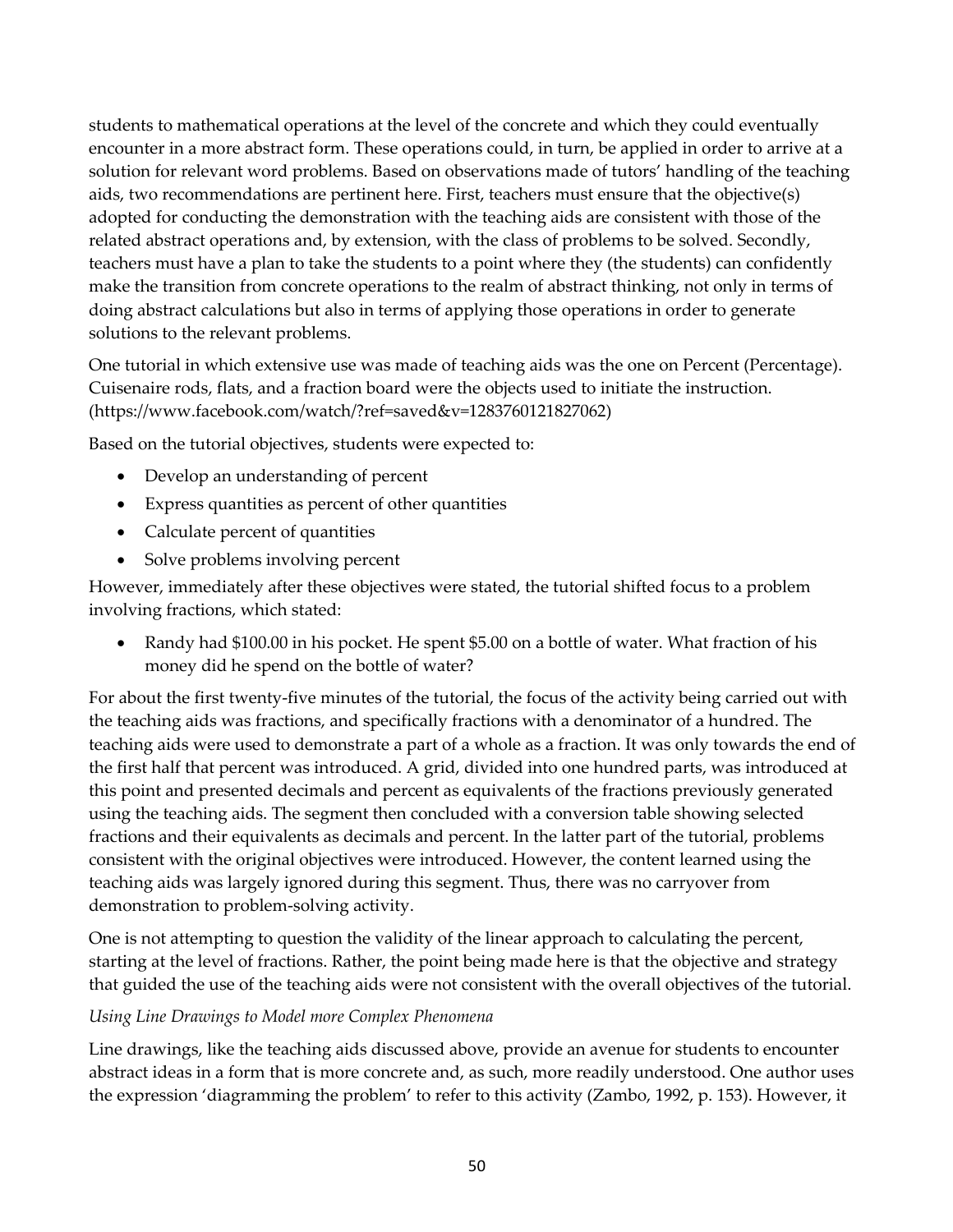students to mathematical operations at the level of the concrete and which they could eventually encounter in a more abstract form. These operations could, in turn, be applied in order to arrive at a solution for relevant word problems. Based on observations made of tutors' handling of the teaching aids, two recommendations are pertinent here. First, teachers must ensure that the objective(s) adopted for conducting the demonstration with the teaching aids are consistent with those of the related abstract operations and, by extension, with the class of problems to be solved. Secondly, teachers must have a plan to take the students to a point where they (the students) can confidently make the transition from concrete operations to the realm of abstract thinking, not only in terms of doing abstract calculations but also in terms of applying those operations in order to generate solutions to the relevant problems.

One tutorial in which extensive use was made of teaching aids was the one on Percent (Percentage). Cuisenaire rods, flats, and a fraction board were the objects used to initiate the instruction. (https://www.facebook.com/watch/?ref=saved&v=1283760121827062)

Based on the tutorial objectives, students were expected to:

- Develop an understanding of percent
- Express quantities as percent of other quantities
- Calculate percent of quantities
- Solve problems involving percent

However, immediately after these objectives were stated, the tutorial shifted focus to a problem involving fractions, which stated:

• Randy had \$100.00 in his pocket. He spent \$5.00 on a bottle of water. What fraction of his money did he spend on the bottle of water?

For about the first twenty-five minutes of the tutorial, the focus of the activity being carried out with the teaching aids was fractions, and specifically fractions with a denominator of a hundred. The teaching aids were used to demonstrate a part of a whole as a fraction. It was only towards the end of the first half that percent was introduced. A grid, divided into one hundred parts, was introduced at this point and presented decimals and percent as equivalents of the fractions previously generated using the teaching aids. The segment then concluded with a conversion table showing selected fractions and their equivalents as decimals and percent. In the latter part of the tutorial, problems consistent with the original objectives were introduced. However, the content learned using the teaching aids was largely ignored during this segment. Thus, there was no carryover from demonstration to problem-solving activity.

One is not attempting to question the validity of the linear approach to calculating the percent, starting at the level of fractions. Rather, the point being made here is that the objective and strategy that guided the use of the teaching aids were not consistent with the overall objectives of the tutorial.

#### *Using Line Drawings to Model more Complex Phenomena*

Line drawings, like the teaching aids discussed above, provide an avenue for students to encounter abstract ideas in a form that is more concrete and, as such, more readily understood. One author uses the expression 'diagramming the problem' to refer to this activity (Zambo, 1992, p. 153). However, it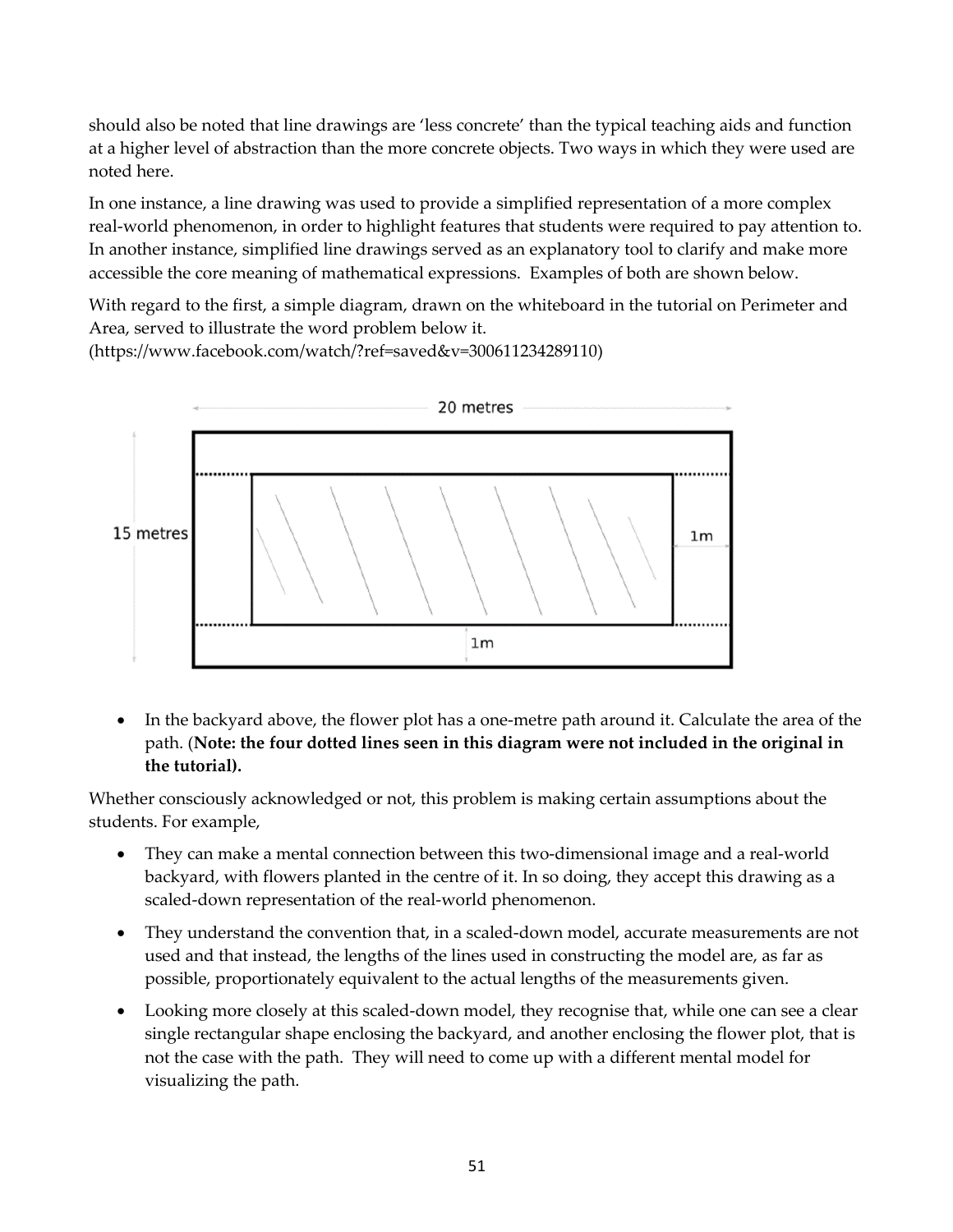should also be noted that line drawings are 'less concrete' than the typical teaching aids and function at a higher level of abstraction than the more concrete objects. Two ways in which they were used are noted here.

In one instance, a line drawing was used to provide a simplified representation of a more complex real-world phenomenon, in order to highlight features that students were required to pay attention to. In another instance, simplified line drawings served as an explanatory tool to clarify and make more accessible the core meaning of mathematical expressions. Examples of both are shown below.

With regard to the first, a simple diagram, drawn on the whiteboard in the tutorial on Perimeter and Area, served to illustrate the word problem below it.

(https://www.facebook.com/watch/?ref=saved&v=300611234289110)



• In the backyard above, the flower plot has a one-metre path around it. Calculate the area of the path. (**Note: the four dotted lines seen in this diagram were not included in the original in the tutorial).**

Whether consciously acknowledged or not, this problem is making certain assumptions about the students. For example,

- They can make a mental connection between this two-dimensional image and a real-world backyard, with flowers planted in the centre of it. In so doing, they accept this drawing as a scaled-down representation of the real-world phenomenon.
- They understand the convention that, in a scaled-down model, accurate measurements are not used and that instead, the lengths of the lines used in constructing the model are, as far as possible, proportionately equivalent to the actual lengths of the measurements given.
- Looking more closely at this scaled-down model, they recognise that, while one can see a clear single rectangular shape enclosing the backyard, and another enclosing the flower plot, that is not the case with the path. They will need to come up with a different mental model for visualizing the path.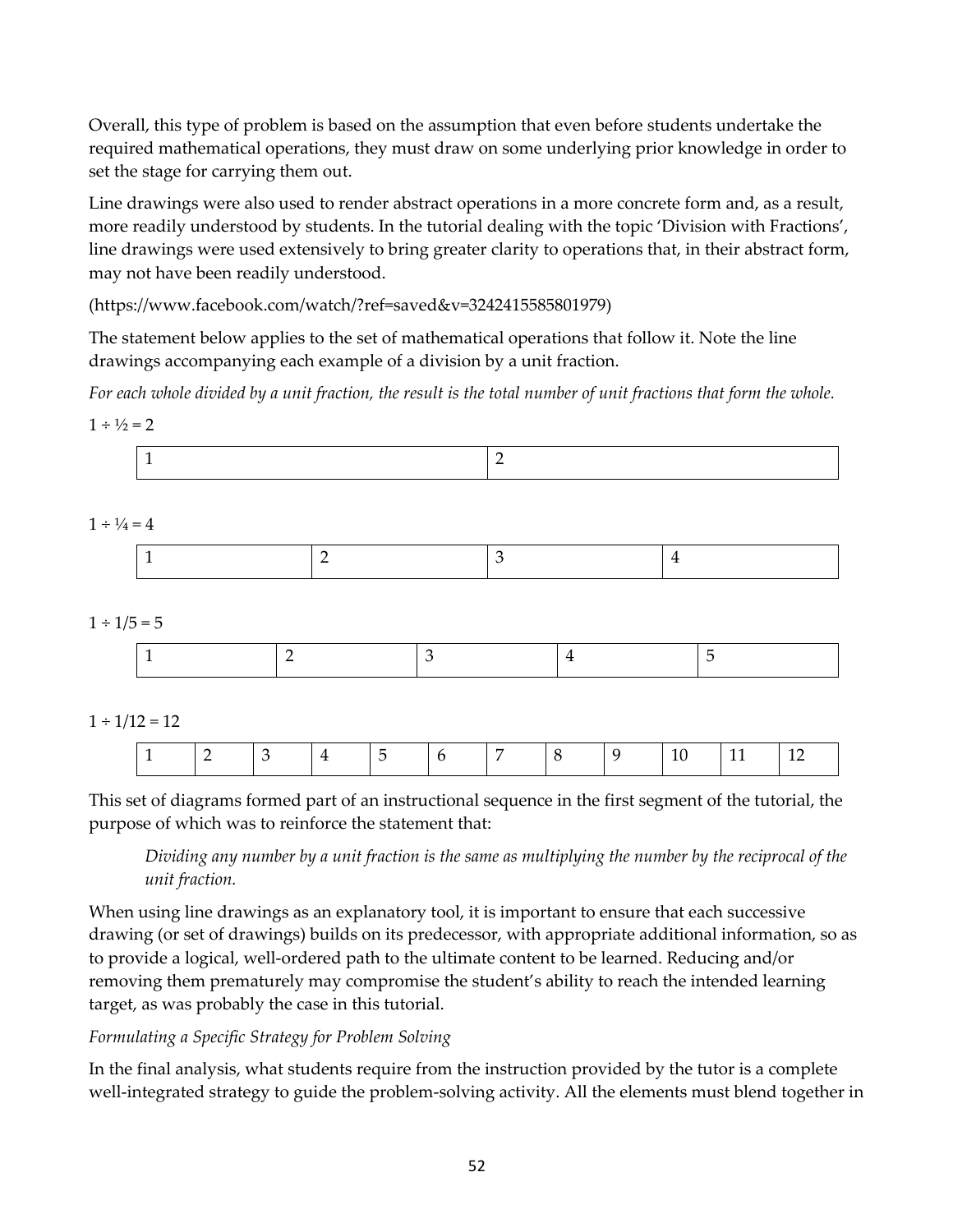Overall, this type of problem is based on the assumption that even before students undertake the required mathematical operations, they must draw on some underlying prior knowledge in order to set the stage for carrying them out.

Line drawings were also used to render abstract operations in a more concrete form and, as a result, more readily understood by students. In the tutorial dealing with the topic 'Division with Fractions', line drawings were used extensively to bring greater clarity to operations that, in their abstract form, may not have been readily understood.

(https://www.facebook.com/watch/?ref=saved&v=3242415585801979)

The statement below applies to the set of mathematical operations that follow it. Note the line drawings accompanying each example of a division by a unit fraction.

For each whole divided by a unit fraction, the result is the total number of unit fractions that form the whole.

| $1 \div \frac{1}{2} = 2$ |    |                |                |                |                |                |                |   |  |  |
|--------------------------|----|----------------|----------------|----------------|----------------|----------------|----------------|---|--|--|
|                          | -1 |                |                |                | $\overline{2}$ |                |                |   |  |  |
| $1 \div \frac{1}{4} = 4$ |    |                |                |                |                |                |                |   |  |  |
|                          | 1  |                | $\overline{2}$ |                | 3              |                | $\overline{4}$ |   |  |  |
| $1 \div 1/5 = 5$         |    |                |                |                |                |                |                |   |  |  |
|                          |    | $\overline{2}$ |                | $\mathfrak{Z}$ |                | $\overline{4}$ |                | 5 |  |  |
| $1 \div 1/12 = 12$       |    |                |                |                |                |                |                |   |  |  |

This set of diagrams formed part of an instructional sequence in the first segment of the tutorial, the purpose of which was to reinforce the statement that:

1 |2 |3 |4 |5 |6 |7 |8 |9 |10 |11 |12

Dividing any number by a unit fraction is the same as multiplying the number by the reciprocal of the *unit fraction.*

When using line drawings as an explanatory tool, it is important to ensure that each successive drawing (or set of drawings) builds on its predecessor, with appropriate additional information, so as to provide a logical, well-ordered path to the ultimate content to be learned. Reducing and/or removing them prematurely may compromise the student's ability to reach the intended learning target, as was probably the case in this tutorial.

#### *Formulating a Specific Strategy for Problem Solving*

In the final analysis, what students require from the instruction provided by the tutor is a complete well-integrated strategy to guide the problem-solving activity. All the elements must blend together in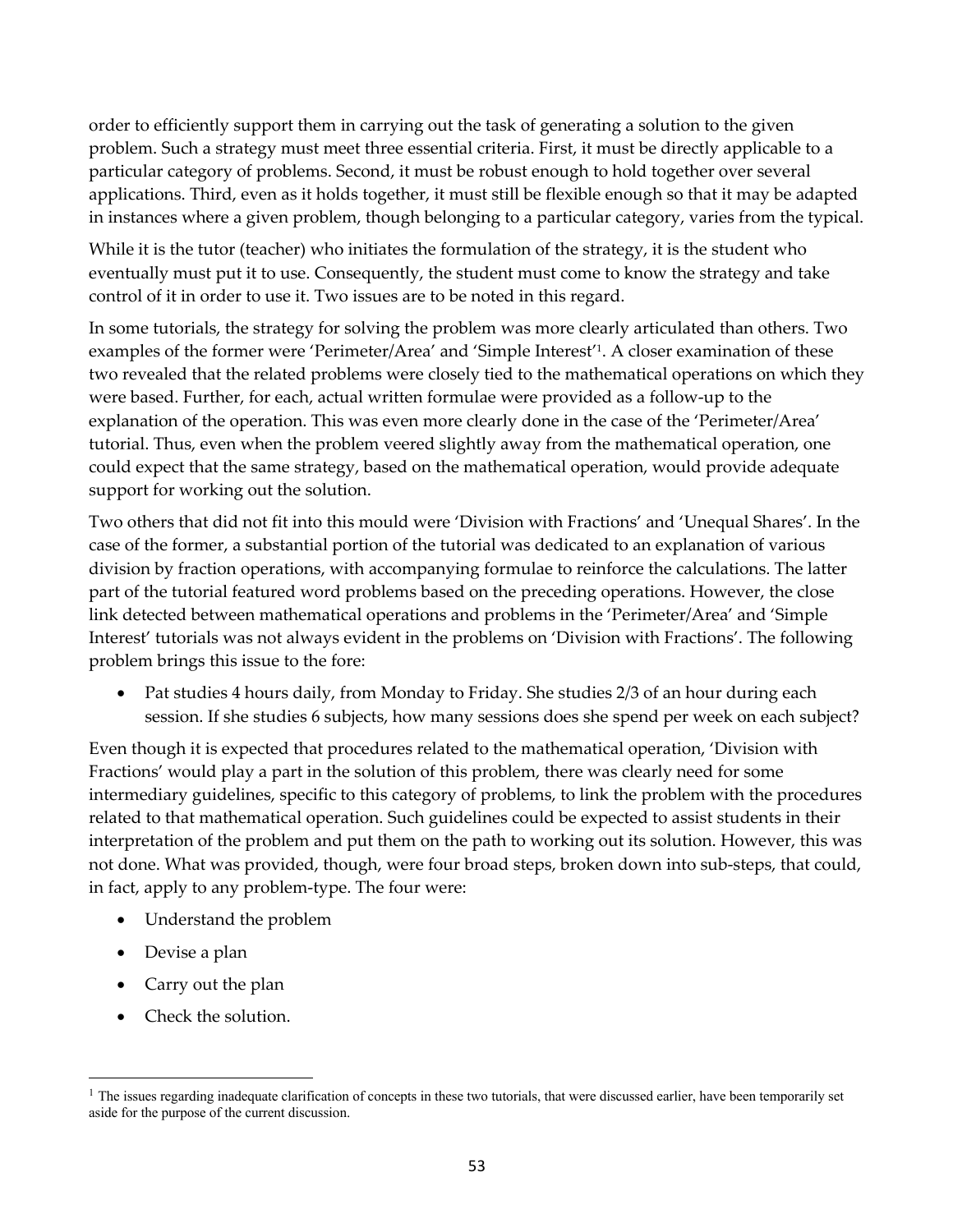order to efficiently support them in carrying out the task of generating a solution to the given problem. Such a strategy must meet three essential criteria. First, it must be directly applicable to a particular category of problems. Second, it must be robust enough to hold together over several applications. Third, even as it holds together, it must still be flexible enough so that it may be adapted in instances where a given problem, though belonging to a particular category, varies from the typical.

While it is the tutor (teacher) who initiates the formulation of the strategy, it is the student who eventually must put it to use. Consequently, the student must come to know the strategy and take control of it in order to use it. Two issues are to be noted in this regard.

In some tutorials, the strategy for solving the problem was more clearly articulated than others. Two examples of the former were 'Perimeter/Area' and 'Simple Interest'1. A closer examination of these two revealed that the related problems were closely tied to the mathematical operations on which they were based. Further, for each, actual written formulae were provided as a follow-up to the explanation of the operation. This was even more clearly done in the case of the 'Perimeter/Area' tutorial. Thus, even when the problem veered slightly away from the mathematical operation, one could expect that the same strategy, based on the mathematical operation, would provide adequate support for working out the solution.

Two others that did not fit into this mould were 'Division with Fractions' and 'Unequal Shares'. In the case of the former, a substantial portion of the tutorial was dedicated to an explanation of various division by fraction operations, with accompanying formulae to reinforce the calculations. The latter part of the tutorial featured word problems based on the preceding operations. However, the close link detected between mathematical operations and problems in the 'Perimeter/Area' and 'Simple Interest' tutorials was not always evident in the problems on 'Division with Fractions'. The following problem brings this issue to the fore:

• Pat studies 4 hours daily, from Monday to Friday. She studies 2/3 of an hour during each session. If she studies 6 subjects, how many sessions does she spend per week on each subject?

Even though it is expected that procedures related to the mathematical operation, 'Division with Fractions' would play a part in the solution of this problem, there was clearly need for some intermediary guidelines, specific to this category of problems, to link the problem with the procedures related to that mathematical operation. Such guidelines could be expected to assist students in their interpretation of the problem and put them on the path to working out its solution. However, this was not done. What was provided, though, were four broad steps, broken down into sub-steps, that could, in fact, apply to any problem-type. The four were:

- Understand the problem
- Devise a plan
- Carry out the plan
- Check the solution.

 $<sup>1</sup>$  The issues regarding inadequate clarification of concepts in these two tutorials, that were discussed earlier, have been temporarily set</sup> aside for the purpose of the current discussion.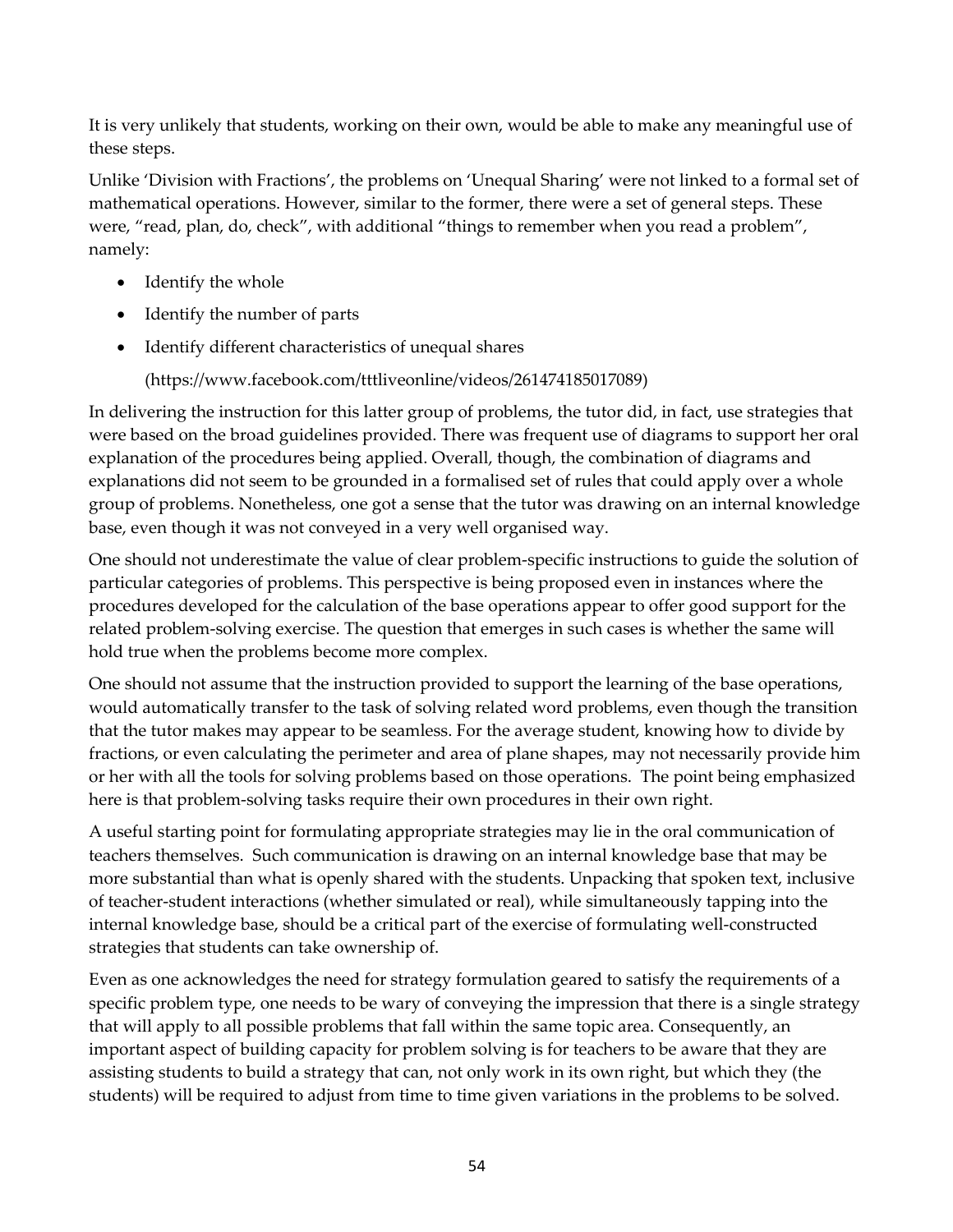It is very unlikely that students, working on their own, would be able to make any meaningful use of these steps.

Unlike 'Division with Fractions', the problems on 'Unequal Sharing' were not linked to a formal set of mathematical operations. However, similar to the former, there were a set of general steps. These were, "read, plan, do, check", with additional "things to remember when you read a problem", namely:

- Identify the whole
- Identify the number of parts
- Identify different characteristics of unequal shares

(https://www.facebook.com/tttliveonline/videos/261474185017089)

In delivering the instruction for this latter group of problems, the tutor did, in fact, use strategies that were based on the broad guidelines provided. There was frequent use of diagrams to support her oral explanation of the procedures being applied. Overall, though, the combination of diagrams and explanations did not seem to be grounded in a formalised set of rules that could apply over a whole group of problems. Nonetheless, one got a sense that the tutor was drawing on an internal knowledge base, even though it was not conveyed in a very well organised way.

One should not underestimate the value of clear problem-specific instructions to guide the solution of particular categories of problems. This perspective is being proposed even in instances where the procedures developed for the calculation of the base operations appear to offer good support for the related problem-solving exercise. The question that emerges in such cases is whether the same will hold true when the problems become more complex.

One should not assume that the instruction provided to support the learning of the base operations, would automatically transfer to the task of solving related word problems, even though the transition that the tutor makes may appear to be seamless. For the average student, knowing how to divide by fractions, or even calculating the perimeter and area of plane shapes, may not necessarily provide him or her with all the tools for solving problems based on those operations. The point being emphasized here is that problem-solving tasks require their own procedures in their own right.

A useful starting point for formulating appropriate strategies may lie in the oral communication of teachers themselves. Such communication is drawing on an internal knowledge base that may be more substantial than what is openly shared with the students. Unpacking that spoken text, inclusive of teacher-student interactions (whether simulated or real), while simultaneously tapping into the internal knowledge base, should be a critical part of the exercise of formulating well-constructed strategies that students can take ownership of.

Even as one acknowledges the need for strategy formulation geared to satisfy the requirements of a specific problem type, one needs to be wary of conveying the impression that there is a single strategy that will apply to all possible problems that fall within the same topic area. Consequently, an important aspect of building capacity for problem solving is for teachers to be aware that they are assisting students to build a strategy that can, not only work in its own right, but which they (the students) will be required to adjust from time to time given variations in the problems to be solved.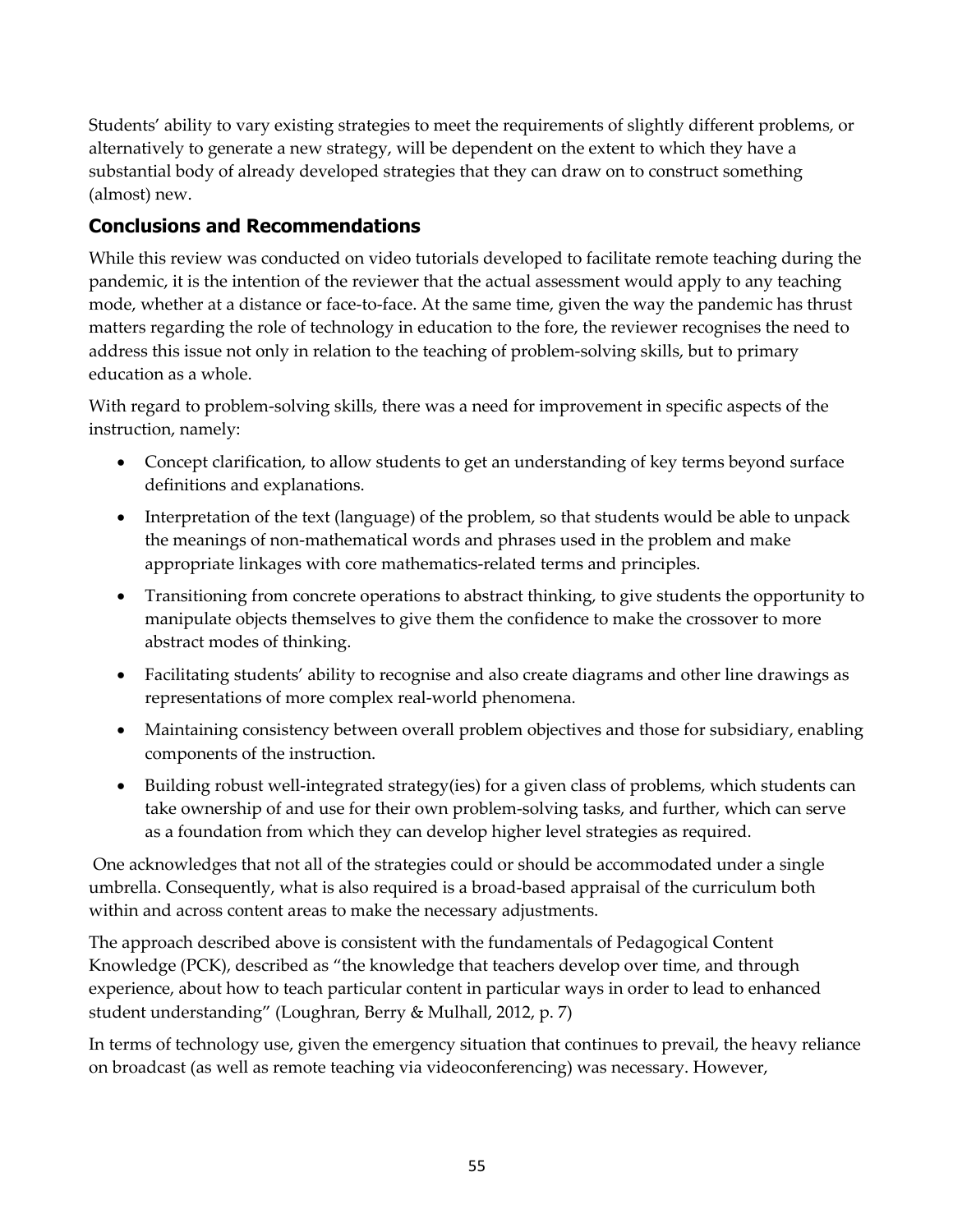Students' ability to vary existing strategies to meet the requirements of slightly different problems, or alternatively to generate a new strategy, will be dependent on the extent to which they have a substantial body of already developed strategies that they can draw on to construct something (almost) new.

## **Conclusions and Recommendations**

While this review was conducted on video tutorials developed to facilitate remote teaching during the pandemic, it is the intention of the reviewer that the actual assessment would apply to any teaching mode, whether at a distance or face-to-face. At the same time, given the way the pandemic has thrust matters regarding the role of technology in education to the fore, the reviewer recognises the need to address this issue not only in relation to the teaching of problem-solving skills, but to primary education as a whole.

With regard to problem-solving skills, there was a need for improvement in specific aspects of the instruction, namely:

- Concept clarification, to allow students to get an understanding of key terms beyond surface definitions and explanations.
- Interpretation of the text (language) of the problem, so that students would be able to unpack the meanings of non-mathematical words and phrases used in the problem and make appropriate linkages with core mathematics-related terms and principles.
- Transitioning from concrete operations to abstract thinking, to give students the opportunity to manipulate objects themselves to give them the confidence to make the crossover to more abstract modes of thinking.
- Facilitating students' ability to recognise and also create diagrams and other line drawings as representations of more complex real-world phenomena.
- Maintaining consistency between overall problem objectives and those for subsidiary, enabling components of the instruction.
- Building robust well-integrated strategy(ies) for a given class of problems, which students can take ownership of and use for their own problem-solving tasks, and further, which can serve as a foundation from which they can develop higher level strategies as required.

One acknowledges that not all of the strategies could or should be accommodated under a single umbrella. Consequently, what is also required is a broad-based appraisal of the curriculum both within and across content areas to make the necessary adjustments.

The approach described above is consistent with the fundamentals of Pedagogical Content Knowledge (PCK), described as "the knowledge that teachers develop over time, and through experience, about how to teach particular content in particular ways in order to lead to enhanced student understanding" (Loughran, Berry & Mulhall, 2012, p. 7)

In terms of technology use, given the emergency situation that continues to prevail, the heavy reliance on broadcast (as well as remote teaching via videoconferencing) was necessary. However,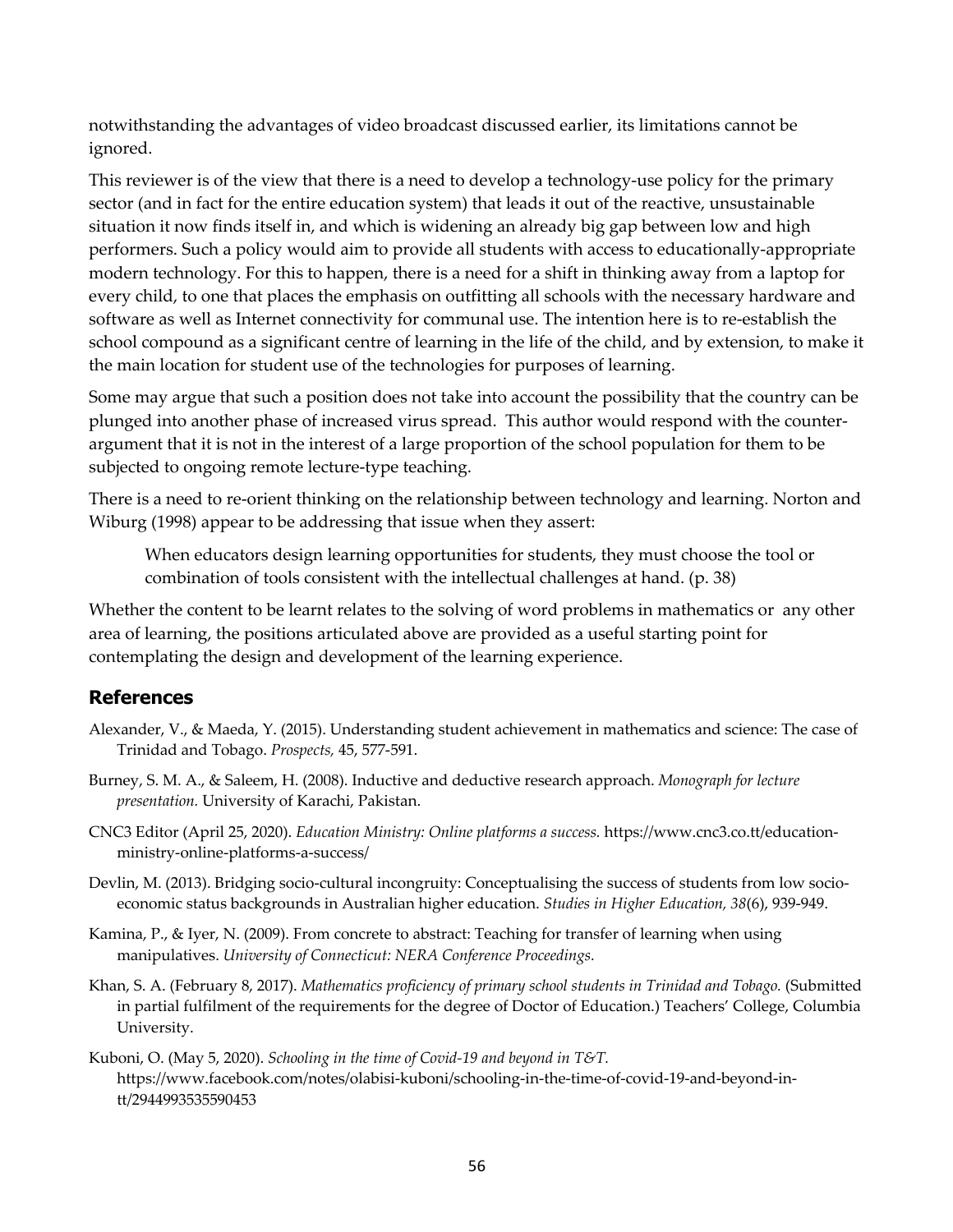notwithstanding the advantages of video broadcast discussed earlier, its limitations cannot be ignored.

This reviewer is of the view that there is a need to develop a technology-use policy for the primary sector (and in fact for the entire education system) that leads it out of the reactive, unsustainable situation it now finds itself in, and which is widening an already big gap between low and high performers. Such a policy would aim to provide all students with access to educationally-appropriate modern technology. For this to happen, there is a need for a shift in thinking away from a laptop for every child, to one that places the emphasis on outfitting all schools with the necessary hardware and software as well as Internet connectivity for communal use. The intention here is to re-establish the school compound as a significant centre of learning in the life of the child, and by extension, to make it the main location for student use of the technologies for purposes of learning.

Some may argue that such a position does not take into account the possibility that the country can be plunged into another phase of increased virus spread. This author would respond with the counterargument that it is not in the interest of a large proportion of the school population for them to be subjected to ongoing remote lecture-type teaching.

There is a need to re-orient thinking on the relationship between technology and learning. Norton and Wiburg (1998) appear to be addressing that issue when they assert:

When educators design learning opportunities for students, they must choose the tool or combination of tools consistent with the intellectual challenges at hand. (p. 38)

Whether the content to be learnt relates to the solving of word problems in mathematics or any other area of learning, the positions articulated above are provided as a useful starting point for contemplating the design and development of the learning experience.

## **References**

- Alexander, V., & Maeda, Y. (2015). Understanding student achievement in mathematics and science: The case of Trinidad and Tobago. *Prospects,* 45, 577-591.
- Burney, S. M. A., & Saleem, H. (2008). Inductive and deductive research approach. *Monograph for lecture presentation.* University of Karachi, Pakistan.
- CNC3 Editor (April 25, 2020). *Education Ministry: Online platforms a success.* https://www.cnc3.co.tt/educationministry-online-platforms-a-success/
- Devlin, M. (2013). Bridging socio-cultural incongruity: Conceptualising the success of students from low socioeconomic status backgrounds in Australian higher education. *Studies in Higher Education, 38*(6), 939-949.
- Kamina, P., & Iyer, N. (2009). From concrete to abstract: Teaching for transfer of learning when using manipulatives. *University of Connecticut: NERA Conference Proceedings.*
- Khan, S. A. (February 8, 2017). *Mathematics proficiency of primary school students in Trinidad and Tobago.* (Submitted in partial fulfilment of the requirements for the degree of Doctor of Education.) Teachers' College, Columbia University.

Kuboni, O. (May 5, 2020). *Schooling in the time of Covid-19 and beyond in T&T.* https://www.facebook.com/notes/olabisi-kuboni/schooling-in-the-time-of-covid-19-and-beyond-intt/2944993535590453